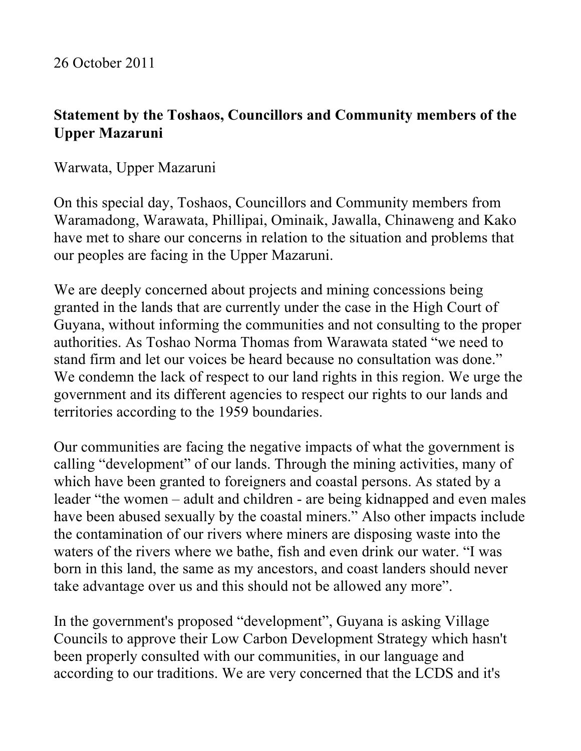## **Statement by the Toshaos, Councillors and Community members of the Upper Mazaruni**

Warwata, Upper Mazaruni

On this special day, Toshaos, Councillors and Community members from Waramadong, Warawata, Phillipai, Ominaik, Jawalla, Chinaweng and Kako have met to share our concerns in relation to the situation and problems that our peoples are facing in the Upper Mazaruni.

We are deeply concerned about projects and mining concessions being granted in the lands that are currently under the case in the High Court of Guyana, without informing the communities and not consulting to the proper authorities. As Toshao Norma Thomas from Warawata stated "we need to stand firm and let our voices be heard because no consultation was done." We condemn the lack of respect to our land rights in this region. We urge the government and its different agencies to respect our rights to our lands and territories according to the 1959 boundaries.

Our communities are facing the negative impacts of what the government is calling "development" of our lands. Through the mining activities, many of which have been granted to foreigners and coastal persons. As stated by a leader "the women – adult and children - are being kidnapped and even males have been abused sexually by the coastal miners." Also other impacts include the contamination of our rivers where miners are disposing waste into the waters of the rivers where we bathe, fish and even drink our water. "I was born in this land, the same as my ancestors, and coast landers should never take advantage over us and this should not be allowed any more".

In the government's proposed "development", Guyana is asking Village Councils to approve their Low Carbon Development Strategy which hasn't been properly consulted with our communities, in our language and according to our traditions. We are very concerned that the LCDS and it's